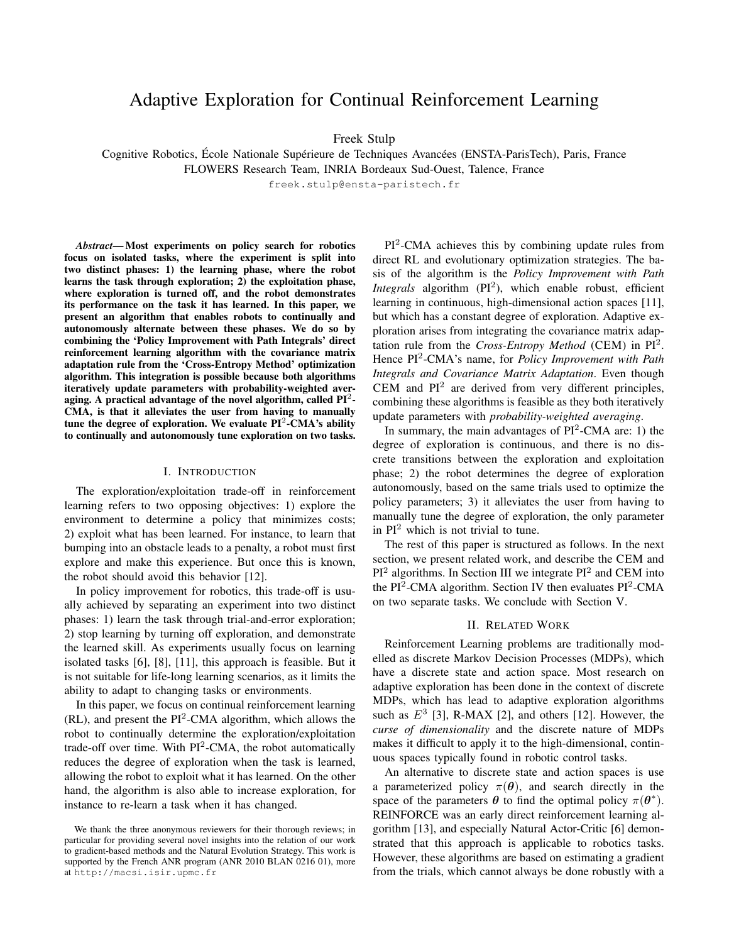# Adaptive Exploration for Continual Reinforcement Learning

Freek Stulp

Cognitive Robotics, École Nationale Supérieure de Techniques Avancées (ENSTA-ParisTech), Paris, France FLOWERS Research Team, INRIA Bordeaux Sud-Ouest, Talence, France

freek.stulp@ensta-paristech.fr

*Abstract*— Most experiments on policy search for robotics focus on isolated tasks, where the experiment is split into two distinct phases: 1) the learning phase, where the robot learns the task through exploration; 2) the exploitation phase, where exploration is turned off, and the robot demonstrates its performance on the task it has learned. In this paper, we present an algorithm that enables robots to continually and autonomously alternate between these phases. We do so by combining the 'Policy Improvement with Path Integrals' direct reinforcement learning algorithm with the covariance matrix adaptation rule from the 'Cross-Entropy Method' optimization algorithm. This integration is possible because both algorithms iteratively update parameters with probability-weighted averaging. A practical advantage of the novel algorithm, called  $PI^2$ -CMA, is that it alleviates the user from having to manually tune the degree of exploration. We evaluate  $PI^2$ -CMA's ability to continually and autonomously tune exploration on two tasks.

#### I. INTRODUCTION

The exploration/exploitation trade-off in reinforcement learning refers to two opposing objectives: 1) explore the environment to determine a policy that minimizes costs; 2) exploit what has been learned. For instance, to learn that bumping into an obstacle leads to a penalty, a robot must first explore and make this experience. But once this is known, the robot should avoid this behavior [12].

In policy improvement for robotics, this trade-off is usually achieved by separating an experiment into two distinct phases: 1) learn the task through trial-and-error exploration; 2) stop learning by turning off exploration, and demonstrate the learned skill. As experiments usually focus on learning isolated tasks [6], [8], [11], this approach is feasible. But it is not suitable for life-long learning scenarios, as it limits the ability to adapt to changing tasks or environments.

In this paper, we focus on continual reinforcement learning  $(RL)$ , and present the PI<sup>2</sup>-CMA algorithm, which allows the robot to continually determine the exploration/exploitation trade-off over time. With  $PI^2$ -CMA, the robot automatically reduces the degree of exploration when the task is learned, allowing the robot to exploit what it has learned. On the other hand, the algorithm is also able to increase exploration, for instance to re-learn a task when it has changed.

PI<sup>2</sup>-CMA achieves this by combining update rules from direct RL and evolutionary optimization strategies. The basis of the algorithm is the *Policy Improvement with Path Integrals* algorithm (PI<sup>2</sup>), which enable robust, efficient learning in continuous, high-dimensional action spaces [11], but which has a constant degree of exploration. Adaptive exploration arises from integrating the covariance matrix adaptation rule from the *Cross-Entropy Method* (CEM) in PI<sup>2</sup> . Hence PI<sup>2</sup> -CMA's name, for *Policy Improvement with Path Integrals and Covariance Matrix Adaptation*. Even though CEM and  $PI<sup>2</sup>$  are derived from very different principles, combining these algorithms is feasible as they both iteratively update parameters with *probability-weighted averaging*.

In summary, the main advantages of  $PI^2$ -CMA are: 1) the degree of exploration is continuous, and there is no discrete transitions between the exploration and exploitation phase; 2) the robot determines the degree of exploration autonomously, based on the same trials used to optimize the policy parameters; 3) it alleviates the user from having to manually tune the degree of exploration, the only parameter in  $PI<sup>2</sup>$  which is not trivial to tune.

The rest of this paper is structured as follows. In the next section, we present related work, and describe the CEM and  $PI<sup>2</sup>$  algorithms. In Section III we integrate  $PI<sup>2</sup>$  and CEM into the PI<sup>2</sup>-CMA algorithm. Section IV then evaluates PI<sup>2</sup>-CMA on two separate tasks. We conclude with Section V.

#### II. RELATED WORK

Reinforcement Learning problems are traditionally modelled as discrete Markov Decision Processes (MDPs), which have a discrete state and action space. Most research on adaptive exploration has been done in the context of discrete MDPs, which has lead to adaptive exploration algorithms such as  $E^3$  [3], R-MAX [2], and others [12]. However, the *curse of dimensionality* and the discrete nature of MDPs makes it difficult to apply it to the high-dimensional, continuous spaces typically found in robotic control tasks.

An alternative to discrete state and action spaces is use a parameterized policy  $\pi(\theta)$ , and search directly in the space of the parameters  $\theta$  to find the optimal policy  $\pi(\theta^*)$ . REINFORCE was an early direct reinforcement learning algorithm [13], and especially Natural Actor-Critic [6] demonstrated that this approach is applicable to robotics tasks. However, these algorithms are based on estimating a gradient from the trials, which cannot always be done robustly with a

We thank the three anonymous reviewers for their thorough reviews; in particular for providing several novel insights into the relation of our work to gradient-based methods and the Natural Evolution Strategy. This work is supported by the French ANR program (ANR 2010 BLAN 0216 01), more at http://macsi.isir.upmc.fr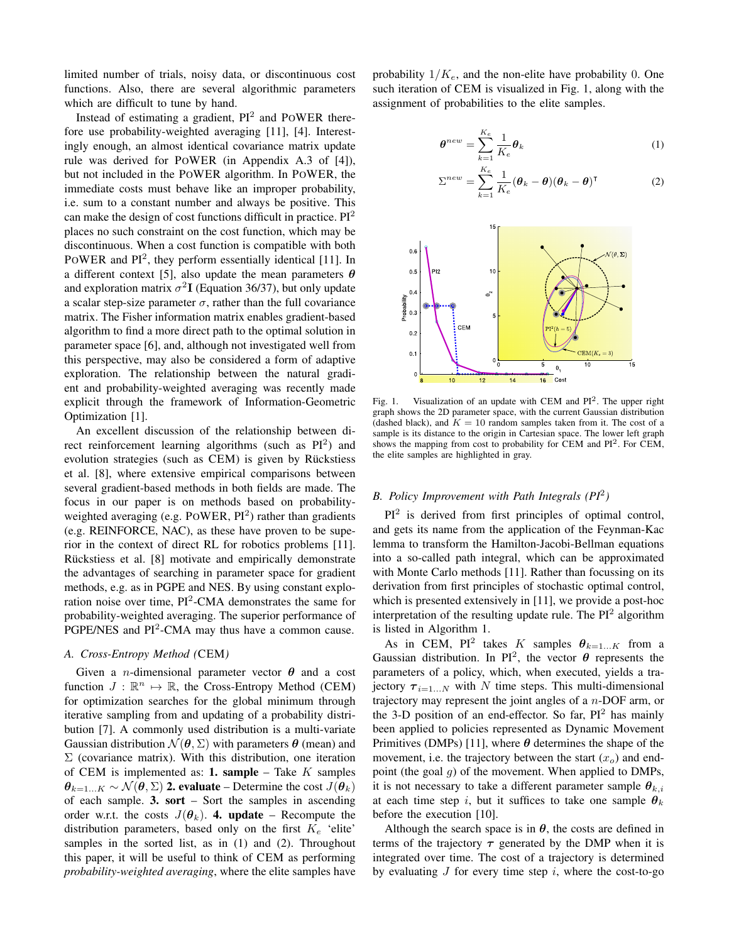limited number of trials, noisy data, or discontinuous cost functions. Also, there are several algorithmic parameters which are difficult to tune by hand.

Instead of estimating a gradient,  $PI^2$  and POWER therefore use probability-weighted averaging [11], [4]. Interestingly enough, an almost identical covariance matrix update rule was derived for POWER (in Appendix A.3 of [4]), but not included in the POWER algorithm. In POWER, the immediate costs must behave like an improper probability, i.e. sum to a constant number and always be positive. This can make the design of cost functions difficult in practice.  $PI^2$ places no such constraint on the cost function, which may be discontinuous. When a cost function is compatible with both POWER and PI<sup>2</sup>, they perform essentially identical [11]. In a different context [5], also update the mean parameters  $\theta$ and exploration matrix  $\sigma^2$ **I** (Equation 36/37), but only update a scalar step-size parameter  $\sigma$ , rather than the full covariance matrix. The Fisher information matrix enables gradient-based algorithm to find a more direct path to the optimal solution in parameter space [6], and, although not investigated well from this perspective, may also be considered a form of adaptive exploration. The relationship between the natural gradient and probability-weighted averaging was recently made explicit through the framework of Information-Geometric Optimization [1].

An excellent discussion of the relationship between direct reinforcement learning algorithms (such as  $PI^2$ ) and evolution strategies (such as CEM) is given by Rückstiess et al. [8], where extensive empirical comparisons between several gradient-based methods in both fields are made. The focus in our paper is on methods based on probabilityweighted averaging (e.g.  $PoWER$ ,  $PI^2$ ) rather than gradients (e.g. REINFORCE, NAC), as these have proven to be superior in the context of direct RL for robotics problems [11]. Rückstiess et al. [8] motivate and empirically demonstrate the advantages of searching in parameter space for gradient methods, e.g. as in PGPE and NES. By using constant exploration noise over time,  $PI^2$ -CMA demonstrates the same for probability-weighted averaging. The superior performance of PGPE/NES and  $PI^2$ -CMA may thus have a common cause.

### *A. Cross-Entropy Method (*CEM*)*

Given a *n*-dimensional parameter vector  $\theta$  and a cost function  $J : \mathbb{R}^n \mapsto \mathbb{R}$ , the Cross-Entropy Method (CEM) for optimization searches for the global minimum through iterative sampling from and updating of a probability distribution [7]. A commonly used distribution is a multi-variate Gaussian distribution  $\mathcal{N}(\theta, \Sigma)$  with parameters  $\theta$  (mean) and  $\Sigma$  (covariance matrix). With this distribution, one iteration of CEM is implemented as: **1. sample** – Take  $K$  samples  $\theta_{k=1...K} \sim \mathcal{N}(\theta, \Sigma)$  2. evaluate – Determine the cost  $J(\theta_k)$ of each sample. 3. sort – Sort the samples in ascending order w.r.t. the costs  $J(\theta_k)$ . **4. update** – Recompute the distribution parameters, based only on the first  $K_e$  'elite' samples in the sorted list, as in (1) and (2). Throughout this paper, it will be useful to think of CEM as performing *probability-weighted averaging*, where the elite samples have probability  $1/K_e$ , and the non-elite have probability 0. One such iteration of CEM is visualized in Fig. 1, along with the assignment of probabilities to the elite samples.

$$
\boldsymbol{\theta}^{new} = \sum_{k=1}^{K_e} \frac{1}{K_e} \boldsymbol{\theta}_k \tag{1}
$$

$$
\Sigma^{new} = \sum_{k=1}^{K_e} \frac{1}{K_e} (\boldsymbol{\theta}_k - \boldsymbol{\theta}) (\boldsymbol{\theta}_k - \boldsymbol{\theta})^{\mathsf{T}}
$$
 (2)



Fig. 1. Visualization of an update with CEM and  $PI^2$ . The upper right graph shows the 2D parameter space, with the current Gaussian distribution (dashed black), and  $K = 10$  random samples taken from it. The cost of a sample is its distance to the origin in Cartesian space. The lower left graph shows the mapping from cost to probability for CEM and PI<sup>2</sup>. For CEM, the elite samples are highlighted in gray.

# *B. Policy Improvement with Path Integrals (PI*<sup>2</sup> *)*

 $PI<sup>2</sup>$  is derived from first principles of optimal control, and gets its name from the application of the Feynman-Kac lemma to transform the Hamilton-Jacobi-Bellman equations into a so-called path integral, which can be approximated with Monte Carlo methods [11]. Rather than focussing on its derivation from first principles of stochastic optimal control, which is presented extensively in [11], we provide a post-hoc interpretation of the resulting update rule. The  $PI<sup>2</sup>$  algorithm is listed in Algorithm 1.

As in CEM, PI<sup>2</sup> takes K samples  $\theta_{k=1...K}$  from a Gaussian distribution. In PI<sup>2</sup>, the vector  $\theta$  represents the parameters of a policy, which, when executed, yields a trajectory  $\tau_{i=1...N}$  with N time steps. This multi-dimensional trajectory may represent the joint angles of a  $n$ -DOF arm, or the 3-D position of an end-effector. So far,  $PI^2$  has mainly been applied to policies represented as Dynamic Movement Primitives (DMPs) [11], where  $\theta$  determines the shape of the movement, i.e. the trajectory between the start  $(x<sub>o</sub>)$  and endpoint (the goal  $g$ ) of the movement. When applied to DMPs, it is not necessary to take a different parameter sample  $\theta_{k,i}$ at each time step i, but it suffices to take one sample  $\theta_k$ before the execution [10].

Although the search space is in  $\theta$ , the costs are defined in terms of the trajectory  $\tau$  generated by the DMP when it is integrated over time. The cost of a trajectory is determined by evaluating  $J$  for every time step  $i$ , where the cost-to-go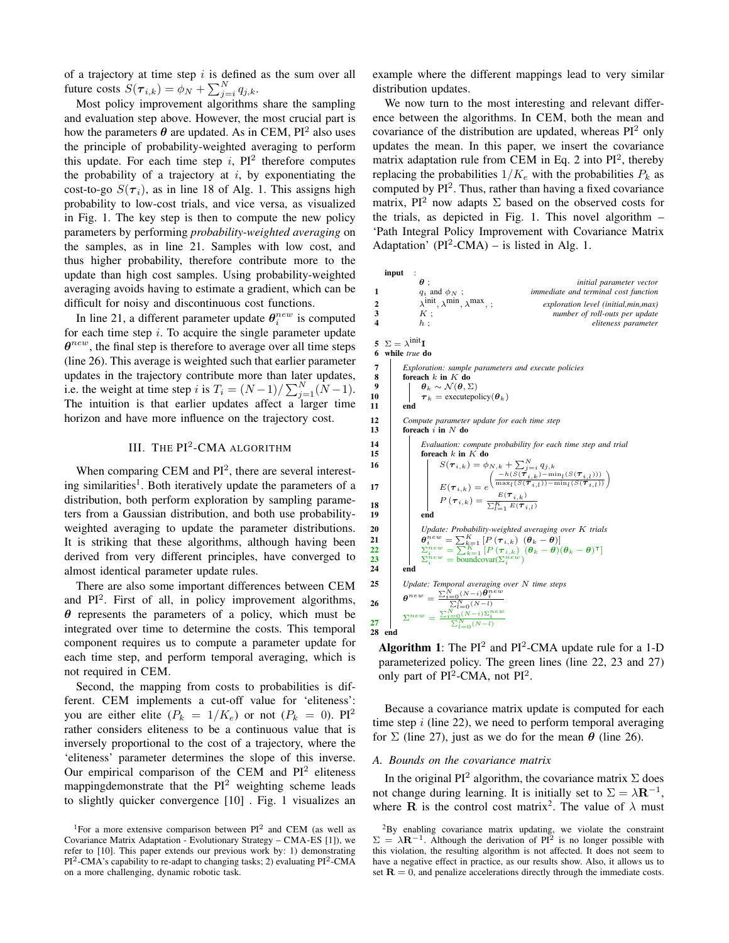of a trajectory at time step  $i$  is defined as the sum over all future costs  $S(\tau_{i,k}) = \phi_N + \sum_{j=i}^N q_{j,k}$ .

Most policy improvement algorithms share the sampling and evaluation step above. However, the most crucial part is how the parameters  $\theta$  are updated. As in CEM, PI<sup>2</sup> also uses the principle of probability-weighted averaging to perform this update. For each time step  $i$ ,  $PI^2$  therefore computes the probability of a trajectory at  $i$ , by exponentiating the cost-to-go  $S(\tau_i)$ , as in line 18 of Alg. 1. This assigns high probability to low-cost trials, and vice versa, as visualized in Fig. 1. The key step is then to compute the new policy parameters by performing *probability-weighted averaging* on the samples, as in line 21. Samples with low cost, and thus higher probability, therefore contribute more to the update than high cost samples. Using probability-weighted averaging avoids having to estimate a gradient, which can be difficult for noisy and discontinuous cost functions.

In line 21, a different parameter update  $\theta_i^{new}$  is computed for each time step  $i$ . To acquire the single parameter update  $\theta^{new}$ , the final step is therefore to average over all time steps (line 26). This average is weighted such that earlier parameter updates in the trajectory contribute more than later updates, i.e. the weight at time step i is  $T_i = (N-1)/\sum_{j=1}^{N} (N-1)$ . The intuition is that earlier updates affect a larger time horizon and have more influence on the trajectory cost.

# III. THE  $PI^2$ -CMA ALGORITHM

When comparing CEM and  $PI^2$ , there are several interesting similarities<sup>1</sup>. Both iteratively update the parameters of a distribution, both perform exploration by sampling parameters from a Gaussian distribution, and both use probabilityweighted averaging to update the parameter distributions. It is striking that these algorithms, although having been derived from very different principles, have converged to almost identical parameter update rules.

There are also some important differences between CEM and PI<sup>2</sup>. First of all, in policy improvement algorithms,  $\theta$  represents the parameters of a policy, which must be integrated over time to determine the costs. This temporal component requires us to compute a parameter update for each time step, and perform temporal averaging, which is not required in CEM.

Second, the mapping from costs to probabilities is different. CEM implements a cut-off value for 'eliteness': you are either elite  $(P_k = 1/K_e)$  or not  $(P_k = 0)$ . PI<sup>2</sup> rather considers eliteness to be a continuous value that is inversely proportional to the cost of a trajectory, where the 'eliteness' parameter determines the slope of this inverse. Our empirical comparison of the CEM and  $PI^2$  eliteness mappingdemonstrate that the  $PI<sup>2</sup>$  weighting scheme leads to slightly quicker convergence [10] . Fig. 1 visualizes an example where the different mappings lead to very similar distribution updates.

We now turn to the most interesting and relevant difference between the algorithms. In CEM, both the mean and covariance of the distribution are updated, whereas  $PI<sup>2</sup>$  only updates the mean. In this paper, we insert the covariance matrix adaptation rule from CEM in Eq. 2 into PI<sup>2</sup>, thereby replacing the probabilities  $1/K_e$  with the probabilities  $P_k$  as computed by  $PI^2$ . Thus, rather than having a fixed covariance matrix, PI<sup>2</sup> now adapts  $\Sigma$  based on the observed costs for the trials, as depicted in Fig. 1. This novel algorithm – 'Path Integral Policy Improvement with Covariance Matrix Adaptation' ( $PI^2$ -CMA) – is listed in Alg. 1.

|                                                | input                                                                                                                                                                                                                                                                                                                 |                                                                                                                                                                                                                                                                                                                                                                             |                                                                                                                                                                                                                                                                                                                                                                                                                                                                                                                  |  |
|------------------------------------------------|-----------------------------------------------------------------------------------------------------------------------------------------------------------------------------------------------------------------------------------------------------------------------------------------------------------------------|-----------------------------------------------------------------------------------------------------------------------------------------------------------------------------------------------------------------------------------------------------------------------------------------------------------------------------------------------------------------------------|------------------------------------------------------------------------------------------------------------------------------------------------------------------------------------------------------------------------------------------------------------------------------------------------------------------------------------------------------------------------------------------------------------------------------------------------------------------------------------------------------------------|--|
| 1                                              |                                                                                                                                                                                                                                                                                                                       | $\boldsymbol{\theta}$ :<br>$q_i$ and $\phi_N$ ;                                                                                                                                                                                                                                                                                                                             | initial parameter vector<br>immediate and terminal cost function                                                                                                                                                                                                                                                                                                                                                                                                                                                 |  |
| $\overline{2}$<br>3<br>$\overline{\mathbf{4}}$ |                                                                                                                                                                                                                                                                                                                       | $\lambda^{init}$ , $\lambda^{min}$ , $\lambda^{max}$ , ;<br>K:<br>$h$ ;                                                                                                                                                                                                                                                                                                     | exploration level (initial, min, max)<br>number of roll-outs per update<br>eliteness parameter                                                                                                                                                                                                                                                                                                                                                                                                                   |  |
| 5<br>6                                         | $\Sigma = \lambda^{\text{init}} I$<br>while true do                                                                                                                                                                                                                                                                   |                                                                                                                                                                                                                                                                                                                                                                             |                                                                                                                                                                                                                                                                                                                                                                                                                                                                                                                  |  |
| 7<br>8<br>9<br>10<br>11                        | Exploration: sample parameters and execute policies<br>foreach $k$ in $K$ do<br>$\theta_k \sim \mathcal{N}(\theta, \Sigma)$<br>$\tau_k$ = execute policy ( $\theta_k$ )<br>end                                                                                                                                        |                                                                                                                                                                                                                                                                                                                                                                             |                                                                                                                                                                                                                                                                                                                                                                                                                                                                                                                  |  |
| 12<br>13                                       | Compute parameter update for each time step<br>foreach $i$ in $N$ do                                                                                                                                                                                                                                                  |                                                                                                                                                                                                                                                                                                                                                                             |                                                                                                                                                                                                                                                                                                                                                                                                                                                                                                                  |  |
| 14<br>15<br>16<br>17<br>18<br>19<br>20<br>21   |                                                                                                                                                                                                                                                                                                                       | foreach $k$ in $K$ do<br>end                                                                                                                                                                                                                                                                                                                                                | Evaluation: compute probability for each time step and trial<br>$\begin{array}{c} S(\pmb{\tau}_{i,k}) = \phi_{N,k} + \sum_{j=i}^{N} q_{j,k} \\ \left(\frac{-h(S(\pmb{\tau}_{i,k})-\min_l(S(\pmb{\tau}_{i,l})))}{\max_l(S(\pmb{\tau}_{i,l})-\min_l(S(\pmb{\tau}_{i,l})))} \right) \\ E(\pmb{\tau}_{i,k}) = e^{\text{E}(\pmb{\tau}_{i,k})} \\ P\left(\pmb{\tau}_{i,k}\right) = \frac{E(\pmb{\tau}_{i,k})}{\sum_{l=1}^{K} E(\pmb{\tau}_{i,l})} \end{array}$<br>Update: Probability-weighted averaging over K trials |  |
| 22<br>23<br>24                                 |                                                                                                                                                                                                                                                                                                                       | $\begin{array}{l} \vartheta^{new}_{i}= \sum_{k=1}^{K}\left[P\left(\pmb{\tau}_{i,k}\right) \ (\pmb{\theta}_k - \pmb{\theta})\right] \\ \Sigma^{new}_{i}= \sum_{k=1}^{K}\left[P\left(\pmb{\tau}_{i,k}\right) \ (\pmb{\theta}_k - \pmb{\theta}) (\pmb{\theta}_k - \pmb{\theta})^{\mathsf{T}}\right] \\ \Sigma^{new}_{i}= \text{boundary}(\Sigma^{new}_{i}) \end{array}$<br>end |                                                                                                                                                                                                                                                                                                                                                                                                                                                                                                                  |  |
| 25<br>26<br>27<br>28                           | Update: Temporal averaging over $N$ time steps<br>$\begin{array}{l} \mathbf{\theta}^{new} = \frac{\sum_{i=0}^{N}(N-i)\mathbf{\hat{\theta}}^{new}_{i}}{\sum_{i=0}^{N}(N-i)} \\ \sum_{i=0}^{N}(\sum_{i=0}^{N-i})\sum_{i=0}^{new} \\ \frac{\sum_{i=0}^{N}(N-i)\sum_{i=0}^{new}}{\sum_{i=0}^{N}(N-i)} \end{array}$<br>end |                                                                                                                                                                                                                                                                                                                                                                             |                                                                                                                                                                                                                                                                                                                                                                                                                                                                                                                  |  |
|                                                |                                                                                                                                                                                                                                                                                                                       |                                                                                                                                                                                                                                                                                                                                                                             |                                                                                                                                                                                                                                                                                                                                                                                                                                                                                                                  |  |

**Algorithm 1**: The  $PI^2$  and  $PI^2$ -CMA update rule for a 1-D parameterized policy. The green lines (line 22, 23 and 27) only part of  $PI^2$ -CMA, not  $PI^2$ .

Because a covariance matrix update is computed for each time step  $i$  (line 22), we need to perform temporal averaging for  $\Sigma$  (line 27), just as we do for the mean  $\theta$  (line 26).

## *A. Bounds on the covariance matrix*

In the original PI<sup>2</sup> algorithm, the covariance matrix  $\Sigma$  does not change during learning. It is initially set to  $\Sigma = \lambda \mathbf{R}^{-1}$ , where **R** is the control cost matrix<sup>2</sup>. The value of  $\lambda$  must

<sup>&</sup>lt;sup>1</sup>For a more extensive comparison between  $PI^2$  and CEM (as well as Covariance Matrix Adaptation - Evolutionary Strategy – CMA-ES [1]), we refer to [10]. This paper extends our previous work by: 1) demonstrating PI<sup>2</sup>-CMA's capability to re-adapt to changing tasks; 2) evaluating PI<sup>2</sup>-CMA on a more challenging, dynamic robotic task.

 ${}^{2}$ By enabling covariance matrix updating, we violate the constraint  $\Sigma = \lambda \mathbf{R}^{-1}$ . Although the derivation of PI<sup>2</sup> is no longer possible with this violation, the resulting algorithm is not affected. It does not seem to have a negative effect in practice, as our results show. Also, it allows us to set  $\mathbf{R} = 0$ , and penalize accelerations directly through the immediate costs.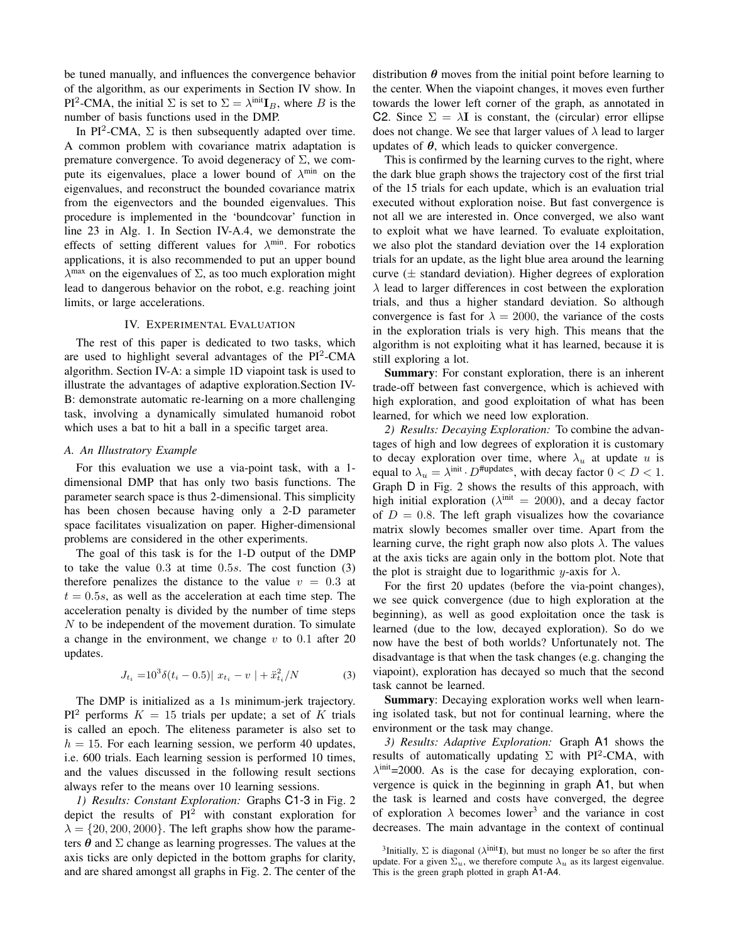be tuned manually, and influences the convergence behavior of the algorithm, as our experiments in Section IV show. In PI<sup>2</sup>-CMA, the initial  $\Sigma$  is set to  $\Sigma = \lambda^{\text{init}} I_B$ , where B is the number of basis functions used in the DMP.

In PI<sup>2</sup>-CMA,  $\Sigma$  is then subsequently adapted over time. A common problem with covariance matrix adaptation is premature convergence. To avoid degeneracy of  $\Sigma$ , we compute its eigenvalues, place a lower bound of  $\lambda^{\min}$  on the eigenvalues, and reconstruct the bounded covariance matrix from the eigenvectors and the bounded eigenvalues. This procedure is implemented in the 'boundcovar' function in line 23 in Alg. 1. In Section IV-A.4, we demonstrate the effects of setting different values for  $\lambda^{\min}$ . For robotics applications, it is also recommended to put an upper bound  $\lambda^{\text{max}}$  on the eigenvalues of  $\Sigma$ , as too much exploration might lead to dangerous behavior on the robot, e.g. reaching joint limits, or large accelerations.

# IV. EXPERIMENTAL EVALUATION

The rest of this paper is dedicated to two tasks, which are used to highlight several advantages of the  $PI^2$ -CMA algorithm. Section IV-A: a simple 1D viapoint task is used to illustrate the advantages of adaptive exploration.Section IV-B: demonstrate automatic re-learning on a more challenging task, involving a dynamically simulated humanoid robot which uses a bat to hit a ball in a specific target area.

# *A. An Illustratory Example*

For this evaluation we use a via-point task, with a 1 dimensional DMP that has only two basis functions. The parameter search space is thus 2-dimensional. This simplicity has been chosen because having only a 2-D parameter space facilitates visualization on paper. Higher-dimensional problems are considered in the other experiments.

The goal of this task is for the 1-D output of the DMP to take the value 0.3 at time 0.5s. The cost function (3) therefore penalizes the distance to the value  $v = 0.3$  at  $t = 0.5s$ , as well as the acceleration at each time step. The acceleration penalty is divided by the number of time steps N to be independent of the movement duration. To simulate a change in the environment, we change  $v$  to 0.1 after 20 updates.

$$
J_{t_i} = 10^3 \delta(t_i - 0.5) ||x_{t_i} - v|| + \ddot{x}_{t_i}^2 / N \tag{3}
$$

The DMP is initialized as a 1s minimum-jerk trajectory.  $PI<sup>2</sup>$  performs  $K = 15$  trials per update; a set of K trials is called an epoch. The eliteness parameter is also set to  $h = 15$ . For each learning session, we perform 40 updates, i.e. 600 trials. Each learning session is performed 10 times, and the values discussed in the following result sections always refer to the means over 10 learning sessions.

*1) Results: Constant Exploration:* Graphs C1-3 in Fig. 2 depict the results of  $PI^2$  with constant exploration for  $\lambda = \{20, 200, 2000\}$ . The left graphs show how the parameters  $\theta$  and  $\Sigma$  change as learning progresses. The values at the axis ticks are only depicted in the bottom graphs for clarity, and are shared amongst all graphs in Fig. 2. The center of the distribution  $\theta$  moves from the initial point before learning to the center. When the viapoint changes, it moves even further towards the lower left corner of the graph, as annotated in C2. Since  $\Sigma = \lambda I$  is constant, the (circular) error ellipse does not change. We see that larger values of  $\lambda$  lead to larger updates of  $\theta$ , which leads to quicker convergence.

This is confirmed by the learning curves to the right, where the dark blue graph shows the trajectory cost of the first trial of the 15 trials for each update, which is an evaluation trial executed without exploration noise. But fast convergence is not all we are interested in. Once converged, we also want to exploit what we have learned. To evaluate exploitation, we also plot the standard deviation over the 14 exploration trials for an update, as the light blue area around the learning curve  $(\pm$  standard deviation). Higher degrees of exploration  $\lambda$  lead to larger differences in cost between the exploration trials, and thus a higher standard deviation. So although convergence is fast for  $\lambda = 2000$ , the variance of the costs in the exploration trials is very high. This means that the algorithm is not exploiting what it has learned, because it is still exploring a lot.

Summary: For constant exploration, there is an inherent trade-off between fast convergence, which is achieved with high exploration, and good exploitation of what has been learned, for which we need low exploration.

*2) Results: Decaying Exploration:* To combine the advantages of high and low degrees of exploration it is customary to decay exploration over time, where  $\lambda_u$  at update u is equal to  $\lambda_u = \lambda^{\text{init}} \cdot D^{\text{#updates}}$ , with decay factor  $0 < D < 1$ . Graph D in Fig. 2 shows the results of this approach, with high initial exploration ( $\lambda^{\text{init}} = 2000$ ), and a decay factor of  $D = 0.8$ . The left graph visualizes how the covariance matrix slowly becomes smaller over time. Apart from the learning curve, the right graph now also plots  $\lambda$ . The values at the axis ticks are again only in the bottom plot. Note that the plot is straight due to logarithmic y-axis for  $\lambda$ .

For the first 20 updates (before the via-point changes), we see quick convergence (due to high exploration at the beginning), as well as good exploitation once the task is learned (due to the low, decayed exploration). So do we now have the best of both worlds? Unfortunately not. The disadvantage is that when the task changes (e.g. changing the viapoint), exploration has decayed so much that the second task cannot be learned.

Summary: Decaying exploration works well when learning isolated task, but not for continual learning, where the environment or the task may change.

*3) Results: Adaptive Exploration:* Graph A1 shows the results of automatically updating  $\Sigma$  with PI<sup>2</sup>-CMA, with  $\lambda^{\text{init}}$ =2000. As is the case for decaying exploration, convergence is quick in the beginning in graph A1, but when the task is learned and costs have converged, the degree of exploration  $\lambda$  becomes lower<sup>3</sup> and the variance in cost decreases. The main advantage in the context of continual

<sup>&</sup>lt;sup>3</sup>Initially,  $\Sigma$  is diagonal ( $\lambda$ <sup>init</sup>I), but must no longer be so after the first update. For a given  $\Sigma_u$ , we therefore compute  $\lambda_u$  as its largest eigenvalue. This is the green graph plotted in graph A1-A4.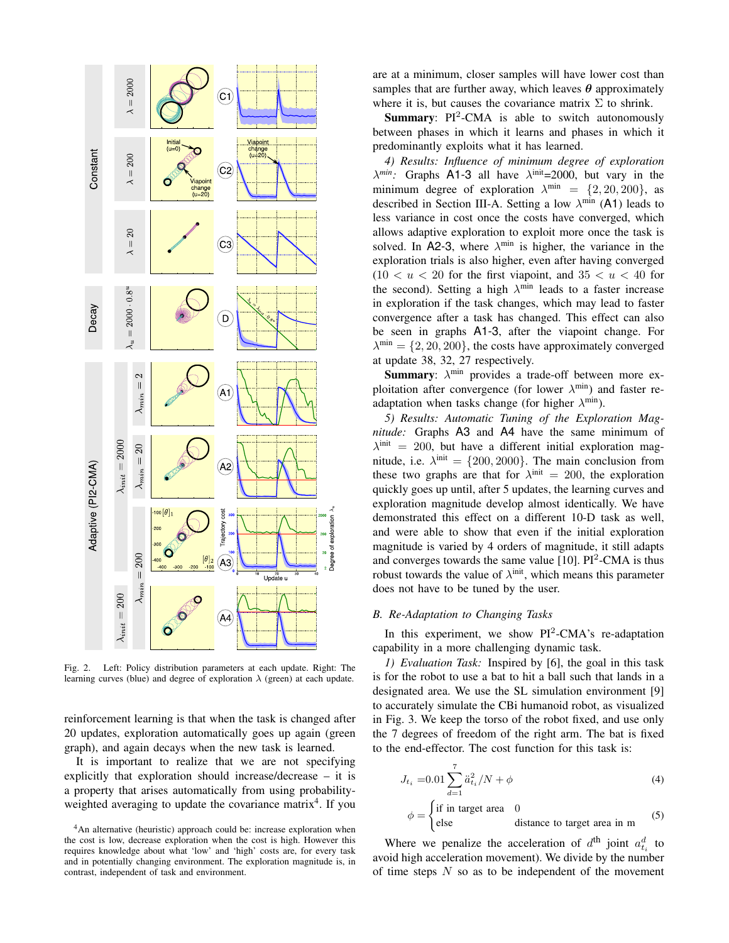

Fig. 2. Left: Policy distribution parameters at each update. Right: The learning curves (blue) and degree of exploration  $\lambda$  (green) at each update.

reinforcement learning is that when the task is changed after 20 updates, exploration automatically goes up again (green graph), and again decays when the new task is learned.

It is important to realize that we are not specifying explicitly that exploration should increase/decrease – it is a property that arises automatically from using probabilityweighted averaging to update the covariance matrix<sup>4</sup>. If you

are at a minimum, closer samples will have lower cost than samples that are further away, which leaves  $\theta$  approximately where it is, but causes the covariance matrix  $\Sigma$  to shrink.

**Summary**:  $PI^2$ -CMA is able to switch autonomously between phases in which it learns and phases in which it predominantly exploits what it has learned.

*4) Results: Influence of minimum degree of exploration*  $\lambda^{min}$ : Graphs A1-3 all have  $\lambda^{init}$ =2000, but vary in the minimum degree of exploration  $\lambda^{\min} = \{2, 20, 200\}$ , as described in Section III-A. Setting a low  $\lambda^{\min}$  (A1) leads to less variance in cost once the costs have converged, which allows adaptive exploration to exploit more once the task is solved. In A2-3, where  $\lambda^{\min}$  is higher, the variance in the exploration trials is also higher, even after having converged  $(10 < u < 20$  for the first viapoint, and  $35 < u < 40$  for the second). Setting a high  $\lambda^{\min}$  leads to a faster increase in exploration if the task changes, which may lead to faster convergence after a task has changed. This effect can also be seen in graphs A1-3, after the viapoint change. For  $\lambda^{\min} = \{2, 20, 200\}$ , the costs have approximately converged at update 38, 32, 27 respectively.

**Summary**:  $\lambda^{\min}$  provides a trade-off between more exploitation after convergence (for lower  $\lambda^{\min}$ ) and faster readaptation when tasks change (for higher  $\lambda^{\min}$ ).

*5) Results: Automatic Tuning of the Exploration Magnitude:* Graphs A3 and A4 have the same minimum of  $\lambda^{\text{init}} = 200$ , but have a different initial exploration magnitude, i.e.  $\lambda^{\text{init}} = \{200, 2000\}$ . The main conclusion from these two graphs are that for  $\lambda^{\text{init}} = 200$ , the exploration quickly goes up until, after 5 updates, the learning curves and exploration magnitude develop almost identically. We have demonstrated this effect on a different 10-D task as well, and were able to show that even if the initial exploration magnitude is varied by 4 orders of magnitude, it still adapts and converges towards the same value [10].  $PI^2$ -CMA is thus robust towards the value of  $\lambda^{\text{init}}$ , which means this parameter does not have to be tuned by the user.

## *B. Re-Adaptation to Changing Tasks*

In this experiment, we show  $PI^2$ -CMA's re-adaptation capability in a more challenging dynamic task.

*1) Evaluation Task:* Inspired by [6], the goal in this task is for the robot to use a bat to hit a ball such that lands in a designated area. We use the SL simulation environment [9] to accurately simulate the CBi humanoid robot, as visualized in Fig. 3. We keep the torso of the robot fixed, and use only the 7 degrees of freedom of the right arm. The bat is fixed to the end-effector. The cost function for this task is:

$$
J_{t_i} = 0.01 \sum_{d=1}^{7} \ddot{a}_{t_i}^2 / N + \phi \tag{4}
$$

$$
\phi = \begin{cases} \text{if in target area} & 0\\ \text{else} & \text{distance to target area in m} \end{cases} \tag{5}
$$

Where we penalize the acceleration of  $d^{\text{th}}$  joint  $a_{t_i}^d$  to avoid high acceleration movement). We divide by the number of time steps  $N$  so as to be independent of the movement

<sup>&</sup>lt;sup>4</sup>An alternative (heuristic) approach could be: increase exploration when the cost is low, decrease exploration when the cost is high. However this requires knowledge about what 'low' and 'high' costs are, for every task and in potentially changing environment. The exploration magnitude is, in contrast, independent of task and environment.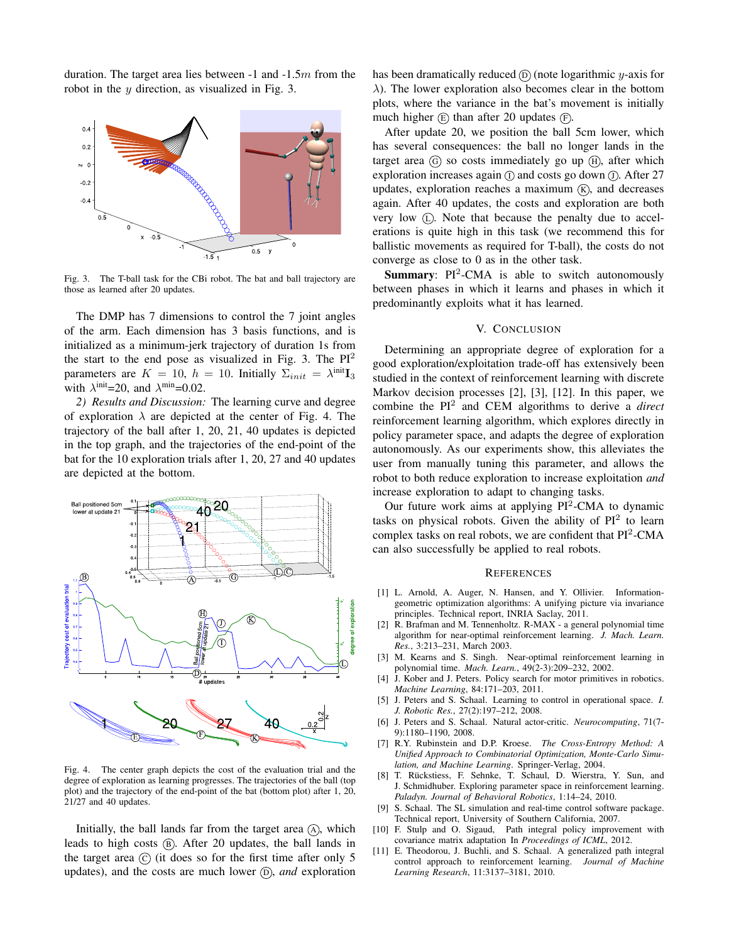duration. The target area lies between  $-1$  and  $-1.5m$  from the robot in the y direction, as visualized in Fig. 3.



Fig. 3. The T-ball task for the CBi robot. The bat and ball trajectory are those as learned after 20 updates.

The DMP has 7 dimensions to control the 7 joint angles of the arm. Each dimension has 3 basis functions, and is initialized as a minimum-jerk trajectory of duration 1s from the start to the end pose as visualized in Fig. 3. The PI<sup>2</sup> parameters are  $K = 10$ ,  $h = 10$ . Initially  $\Sigma_{init} = \lambda^{init} \mathbf{I}_3$ with  $\lambda^{\text{init}}$ =20, and  $\lambda^{\text{min}}$ =0.02.

*2) Results and Discussion:* The learning curve and degree of exploration  $\lambda$  are depicted at the center of Fig. 4. The trajectory of the ball after 1, 20, 21, 40 updates is depicted in the top graph, and the trajectories of the end-point of the bat for the 10 exploration trials after 1, 20, 27 and 40 updates are depicted at the bottom.



Fig. 4. The center graph depicts the cost of the evaluation trial and the degree of exploration as learning progresses. The trajectories of the ball (top plot) and the trajectory of the end-point of the bat (bottom plot) after 1, 20, 21/27 and 40 updates.

Initially, the ball lands far from the target area  $(A)$ , which leads to high costs  $(B)$ . After 20 updates, the ball lands in the target area  $\odot$  (it does so for the first time after only 5 updates), and the costs are much lower  $(D)$ , *and* exploration has been dramatically reduced  $\overline{D}$  (note logarithmic y-axis for  $\lambda$ ). The lower exploration also becomes clear in the bottom plots, where the variance in the bat's movement is initially much higher  $(E)$  than after 20 updates  $(F)$ .

After update 20, we position the ball 5cm lower, which has several consequences: the ball no longer lands in the target area  $\overline{G}$  so costs immediately go up  $\overline{H}$ , after which exploration increases again  $\Omega$  and costs go down  $\Omega$ . After 27 updates, exploration reaches a maximum  $(K)$ , and decreases again. After 40 updates, the costs and exploration are both very low  $(D)$ . Note that because the penalty due to accelerations is quite high in this task (we recommend this for ballistic movements as required for T-ball), the costs do not converge as close to 0 as in the other task.

**Summary:** PI<sup>2</sup>-CMA is able to switch autonomously between phases in which it learns and phases in which it predominantly exploits what it has learned.

#### V. CONCLUSION

Determining an appropriate degree of exploration for a good exploration/exploitation trade-off has extensively been studied in the context of reinforcement learning with discrete Markov decision processes [2], [3], [12]. In this paper, we combine the PI<sup>2</sup> and CEM algorithms to derive a *direct* reinforcement learning algorithm, which explores directly in policy parameter space, and adapts the degree of exploration autonomously. As our experiments show, this alleviates the user from manually tuning this parameter, and allows the robot to both reduce exploration to increase exploitation *and* increase exploration to adapt to changing tasks.

Our future work aims at applying PI<sup>2</sup>-CMA to dynamic tasks on physical robots. Given the ability of  $PI^2$  to learn complex tasks on real robots, we are confident that  $PI^2$ -CMA can also successfully be applied to real robots.

#### **REFERENCES**

- [1] L. Arnold, A. Auger, N. Hansen, and Y. Ollivier. Informationgeometric optimization algorithms: A unifying picture via invariance principles. Technical report, INRIA Saclay, 2011.
- [2] R. Brafman and M. Tennenholtz. R-MAX a general polynomial time algorithm for near-optimal reinforcement learning. *J. Mach. Learn. Res.*, 3:213–231, March 2003.
- [3] M. Kearns and S. Singh. Near-optimal reinforcement learning in polynomial time. *Mach. Learn.*, 49(2-3):209–232, 2002.
- [4] J. Kober and J. Peters. Policy search for motor primitives in robotics. *Machine Learning*, 84:171–203, 2011.
- [5] J. Peters and S. Schaal. Learning to control in operational space. *I. J. Robotic Res.*, 27(2):197–212, 2008.
- [6] J. Peters and S. Schaal. Natural actor-critic. *Neurocomputing*, 71(7- 9):1180–1190, 2008.
- [7] R.Y. Rubinstein and D.P. Kroese. *The Cross-Entropy Method: A Unified Approach to Combinatorial Optimization, Monte-Carlo Simulation, and Machine Learning*. Springer-Verlag, 2004.
- [8] T. Rückstiess, F. Sehnke, T. Schaul, D. Wierstra, Y. Sun, and J. Schmidhuber. Exploring parameter space in reinforcement learning. *Paladyn. Journal of Behavioral Robotics*, 1:14–24, 2010.
- [9] S. Schaal. The SL simulation and real-time control software package. Technical report, University of Southern California, 2007.
- [10] F. Stulp and O. Sigaud, Path integral policy improvement with covariance matrix adaptation In *Proceedings of ICML*, 2012.
- [11] E. Theodorou, J. Buchli, and S. Schaal. A generalized path integral control approach to reinforcement learning. *Journal of Machine Learning Research*, 11:3137–3181, 2010.